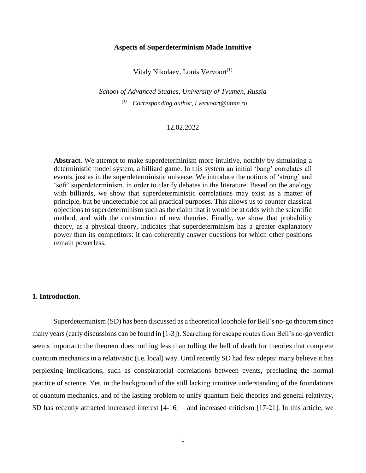### **Aspects of Superdeterminism Made Intuitive**

Vitaly Nikolaev, Louis Vervoort<sup>(1)</sup>

*School of Advanced Studies, University of Tyumen, Russia (1) Corresponding author, l.vervoort@utmn.ru*

#### 12.02.2022

**Abstract**. We attempt to make superdeterminism more intuitive, notably by simulating a deterministic model system, a billiard game. In this system an initial 'bang' correlates all events, just as in the superdeterministic universe. We introduce the notions of 'strong' and 'soft' superdeterminism, in order to clarify debates in the literature. Based on the analogy with billiards, we show that superdeterministic correlations may exist as a matter of principle, but be undetectable for all practical purposes. This allows us to counter classical objections to superdeterminism such as the claim that it would be at odds with the scientific method, and with the construction of new theories. Finally, we show that probability theory, as a physical theory, indicates that superdeterminism has a greater explanatory power than its competitors: it can coherently answer questions for which other positions remain powerless.

#### **1. Introduction**.

Superdeterminism (SD) has been discussed as a theoretical loophole for Bell's no-go theorem since many years (early discussions can be found in [1-3]). Searching for escape routes from Bell's no-go verdict seems important: the theorem does nothing less than tolling the bell of death for theories that complete quantum mechanics in a relativistic (i.e. local) way. Until recently SD had few adepts: many believe it has perplexing implications, such as conspiratorial correlations between events, precluding the normal practice of science. Yet, in the background of the still lacking intuitive understanding of the foundations of quantum mechanics, and of the lasting problem to unify quantum field theories and general relativity, SD has recently attracted increased interest [4-16] – and increased criticism [17-21]. In this article, we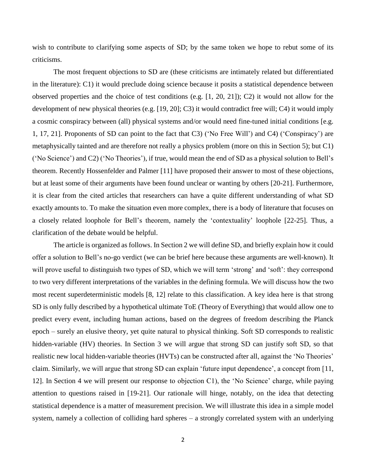wish to contribute to clarifying some aspects of SD; by the same token we hope to rebut some of its criticisms.

The most frequent objections to SD are (these criticisms are intimately related but differentiated in the literature): C1) it would preclude doing science because it posits a statistical dependence between observed properties and the choice of test conditions (e.g. [1, 20, 21]); C2) it would not allow for the development of new physical theories (e.g. [19, 20]; C3) it would contradict free will; C4) it would imply a cosmic conspiracy between (all) physical systems and/or would need fine-tuned initial conditions [e.g. 1, 17, 21]. Proponents of SD can point to the fact that C3) ('No Free Will') and C4) ('Conspiracy') are metaphysically tainted and are therefore not really a physics problem (more on this in Section 5); but C1) ('No Science') and C2) ('No Theories'), if true, would mean the end of SD as a physical solution to Bell's theorem. Recently Hossenfelder and Palmer [11] have proposed their answer to most of these objections, but at least some of their arguments have been found unclear or wanting by others [20-21]. Furthermore, it is clear from the cited articles that researchers can have a quite different understanding of what SD exactly amounts to. To make the situation even more complex, there is a body of literature that focuses on a closely related loophole for Bell's theorem, namely the 'contextuality' loophole [22-25]. Thus, a clarification of the debate would be helpful.

The article is organized as follows. In Section 2 we will define SD, and briefly explain how it could offer a solution to Bell's no-go verdict (we can be brief here because these arguments are well-known). It will prove useful to distinguish two types of SD, which we will term 'strong' and 'soft': they correspond to two very different interpretations of the variables in the defining formula. We will discuss how the two most recent superdeterministic models [8, 12] relate to this classification. A key idea here is that strong SD is only fully described by a hypothetical ultimate ToE (Theory of Everything) that would allow one to predict every event, including human actions, based on the degrees of freedom describing the Planck epoch – surely an elusive theory, yet quite natural to physical thinking. Soft SD corresponds to realistic hidden-variable (HV) theories. In Section 3 we will argue that strong SD can justify soft SD, so that realistic new local hidden-variable theories (HVTs) can be constructed after all, against the 'No Theories' claim. Similarly, we will argue that strong SD can explain 'future input dependence', a concept from [11, 12]. In Section 4 we will present our response to objection C1), the 'No Science' charge, while paying attention to questions raised in [19-21]. Our rationale will hinge, notably, on the idea that detecting statistical dependence is a matter of measurement precision. We will illustrate this idea in a simple model system, namely a collection of colliding hard spheres – a strongly correlated system with an underlying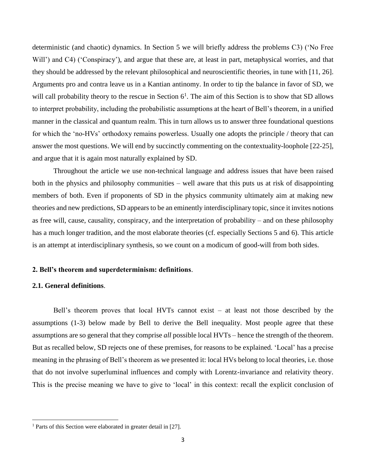deterministic (and chaotic) dynamics. In Section 5 we will briefly address the problems C3) ('No Free Will') and C4) ('Conspiracy'), and argue that these are, at least in part, metaphysical worries, and that they should be addressed by the relevant philosophical and neuroscientific theories, in tune with [11, 26]. Arguments pro and contra leave us in a Kantian antinomy. In order to tip the balance in favor of SD, we will call probability theory to the rescue in Section  $6<sup>1</sup>$ . The aim of this Section is to show that SD allows to interpret probability, including the probabilistic assumptions at the heart of Bell's theorem, in a unified manner in the classical and quantum realm. This in turn allows us to answer three foundational questions for which the 'no-HVs' orthodoxy remains powerless. Usually one adopts the principle / theory that can answer the most questions. We will end by succinctly commenting on the contextuality-loophole [22-25], and argue that it is again most naturally explained by SD.

Throughout the article we use non-technical language and address issues that have been raised both in the physics and philosophy communities – well aware that this puts us at risk of disappointing members of both. Even if proponents of SD in the physics community ultimately aim at making new theories and new predictions, SD appears to be an eminently interdisciplinary topic, since it invites notions as free will, cause, causality, conspiracy, and the interpretation of probability – and on these philosophy has a much longer tradition, and the most elaborate theories (cf. especially Sections 5 and 6). This article is an attempt at interdisciplinary synthesis, so we count on a modicum of good-will from both sides.

## **2. Bell's theorem and superdeterminism: definitions**.

# **2.1. General definitions**.

 $\overline{\phantom{a}}$ 

Bell's theorem proves that local HVTs cannot exist – at least not those described by the assumptions (1-3) below made by Bell to derive the Bell inequality. Most people agree that these assumptions are so general that they comprise *all* possible local HVTs – hence the strength of the theorem. But as recalled below, SD rejects one of these premises, for reasons to be explained. 'Local' has a precise meaning in the phrasing of Bell's theorem as we presented it: local HVs belong to local theories, i.e. those that do not involve superluminal influences and comply with Lorentz-invariance and relativity theory. This is the precise meaning we have to give to 'local' in this context: recall the explicit conclusion of

<sup>1</sup> Parts of this Section were elaborated in greater detail in [27].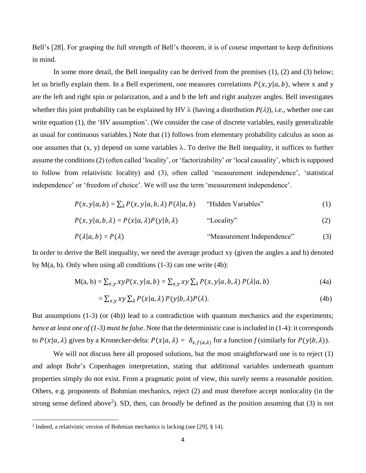Bell's [28]. For grasping the full strength of Bell's theorem, it is of course important to keep definitions in mind.

In some more detail, the Bell inequality can be derived from the premises (1), (2) and (3) below; let us briefly explain them. In a Bell experiment, one measures correlations  $P(x, y|a, b)$ , where x and y are the left and right spin or polarization, and a and b the left and right analyzer angles. Bell investigates whether this joint probability can be explained by HV  $\lambda$  (having a distribution  $P(\lambda)$ ), i.e., whether one can write equation (1), the 'HV assumption'. (We consider the case of discrete variables, easily generalizable as usual for continuous variables.) Note that (1) follows from elementary probability calculus as soon as one assumes that  $(x, y)$  depend on some variables  $\lambda$ . To derive the Bell inequality, it suffices to further assume the conditions(2) (often called 'locality', or 'factorizability' or 'local causality', which is supposed to follow from relativistic locality) and (3), often called 'measurement independence', 'statistical independence' or 'freedom of choice'. We will use the term 'measurement independence'.

$$
P(x, y | a, b) = \sum_{\lambda} P(x, y | a, b, \lambda) P(\lambda | a, b)
$$
 "Hidden Variables" (1)

$$
P(x, y | a, b, \lambda) = P(x | a, \lambda) P(y | b, \lambda)
$$
 "Locality" (2)

$$
P(\lambda|a, b) = P(\lambda)
$$
 "Measurement Independence" (3)

In order to derive the Bell inequality, we need the average product xy (given the angles a and b) denoted by  $M(a, b)$ . Only when using all conditions  $(1-3)$  can one write  $(4b)$ :

$$
M(a, b) = \sum_{x,y} x y P(x, y | a, b) = \sum_{x,y} x y \sum_{\lambda} P(x, y | a, b, \lambda) P(\lambda | a, b)
$$
(4a)

$$
= \sum_{x,y} xy \sum_{\lambda} P(x|a,\lambda) P(y|b,\lambda) P(\lambda).
$$
 (4b)

But assumptions (1-3) (or (4b)) lead to a contradiction with quantum mechanics and the experiments; *hence at least one of (1-3) must be false*. Note that the deterministic case is included in (1-4): it corresponds to  $P(x|a, \lambda)$  given by a Kronecker-delta:  $P(x|a, \lambda) = \delta_{x,f(a,\lambda)}$  for a function *f* (similarly for  $P(y|b, \lambda)$ ).

We will not discuss here all proposed solutions, but the most straightforward one is to reject (1) and adopt Bohr's Copenhagen interpretation, stating that additional variables underneath quantum properties simply do not exist. From a pragmatic point of view, this surely seems a reasonable position. Others, e.g. proponents of Bohmian mechanics, reject (2) and must therefore accept nonlocality (in the strong sense defined above<sup>2</sup>). SD, then, can *broadly* be defined as the position assuming that  $(3)$  is not

 $\overline{\phantom{a}}$ 

<sup>&</sup>lt;sup>2</sup> Indeed, a relativistic version of Bohmian mechanics is lacking (see [29], § 14).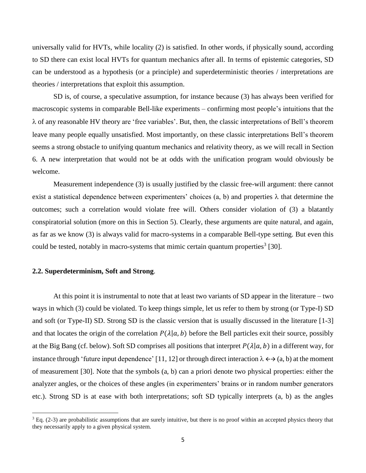universally valid for HVTs, while locality (2) is satisfied. In other words, if physically sound, according to SD there can exist local HVTs for quantum mechanics after all. In terms of epistemic categories, SD can be understood as a hypothesis (or a principle) and superdeterministic theories / interpretations are theories / interpretations that exploit this assumption.

SD is, of course, a speculative assumption, for instance because (3) has always been verified for macroscopic systems in comparable Bell-like experiments – confirming most people's intuitions that the  $\lambda$  of any reasonable HV theory are 'free variables'. But, then, the classic interpretations of Bell's theorem leave many people equally unsatisfied. Most importantly, on these classic interpretations Bell's theorem seems a strong obstacle to unifying quantum mechanics and relativity theory, as we will recall in Section 6. A new interpretation that would not be at odds with the unification program would obviously be welcome.

Measurement independence (3) is usually justified by the classic free-will argument: there cannot exist a statistical dependence between experimenters' choices  $(a, b)$  and properties  $\lambda$  that determine the outcomes; such a correlation would violate free will. Others consider violation of (3) a blatantly conspiratorial solution (more on this in Section 5). Clearly, these arguments are quite natural, and again, as far as we know (3) is always valid for macro-systems in a comparable Bell-type setting. But even this could be tested, notably in macro-systems that mimic certain quantum properties<sup>3</sup> [30].

## **2.2. Superdeterminism, Soft and Strong**.

 $\overline{\phantom{a}}$ 

At this point it is instrumental to note that at least two variants of SD appear in the literature – two ways in which (3) could be violated. To keep things simple, let us refer to them by strong (or Type-I) SD and soft (or Type-II) SD. Strong SD is the classic version that is usually discussed in the literature [1-3] and that locates the origin of the correlation  $P(\lambda|a, b)$  before the Bell particles exit their source, possibly at the Big Bang (cf. below). Soft SD comprises all positions that interpret  $P(\lambda|a, b)$  in a different way, for instance through 'future input dependence' [11, 12] or through direct interaction  $\lambda \leftrightarrow (a, b)$  at the moment of measurement [30]. Note that the symbols (a, b) can a priori denote two physical properties: either the analyzer angles, or the choices of these angles (in experimenters' brains or in random number generators etc.). Strong SD is at ease with both interpretations; soft SD typically interprets (a, b) as the angles

 $3$  Eq. (2-3) are probabilistic assumptions that are surely intuitive, but there is no proof within an accepted physics theory that they necessarily apply to a given physical system.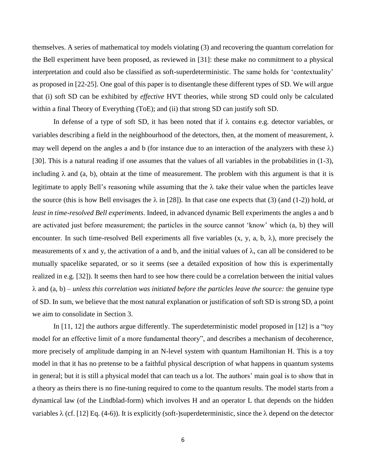themselves. A series of mathematical toy models violating (3) and recovering the quantum correlation for the Bell experiment have been proposed, as reviewed in [31]: these make no commitment to a physical interpretation and could also be classified as soft-superdeterministic. The same holds for 'contextuality' as proposed in [22-25]. One goal of this paper is to disentangle these different types of SD. We will argue that (i) soft SD can be exhibited by *effective* HVT theories, while strong SD could only be calculated within a final Theory of Everything (ToE); and (ii) that strong SD can justify soft SD.

In defense of a type of soft SD, it has been noted that if  $\lambda$  contains e.g. detector variables, or variables describing a field in the neighbourhood of the detectors, then, at the moment of measurement,  $\lambda$ may well depend on the angles a and b (for instance due to an interaction of the analyzers with these  $\lambda$ ) [30]. This is a natural reading if one assumes that the values of all variables in the probabilities in (1-3), including  $\lambda$  and (a, b), obtain at the time of measurement. The problem with this argument is that it is legitimate to apply Bell's reasoning while assuming that the  $\lambda$  take their value when the particles leave the source (this is how Bell envisages the  $\lambda$  in [28]). In that case one expects that (3) (and (1-2)) hold, *at least in time-resolved Bell experiments*. Indeed, in advanced dynamic Bell experiments the angles a and b are activated just before measurement; the particles in the source cannot 'know' which (a, b) they will encounter. In such time-resolved Bell experiments all five variables  $(x, y, a, b, \lambda)$ , more precisely the measurements of x and y, the activation of a and b, and the initial values of  $\lambda$ , can all be considered to be mutually spacelike separated, or so it seems (see a detailed exposition of how this is experimentally realized in e.g. [32]). It seems then hard to see how there could be a correlation between the initial values  $\lambda$  and  $(a, b)$  – *unless this correlation was initiated before the particles leave the source:* the genuine type of SD. In sum, we believe that the most natural explanation or justification of soft SD is strong SD, a point we aim to consolidate in Section 3.

In [11, 12] the authors argue differently. The superdeterministic model proposed in [12] is a "toy model for an effective limit of a more fundamental theory", and describes a mechanism of decoherence, more precisely of amplitude damping in an N-level system with quantum Hamiltonian H. This is a toy model in that it has no pretense to be a faithful physical description of what happens in quantum systems in general; but it is still a physical model that can teach us a lot. The authors' main goal is to show that in a theory as theirs there is no fine-tuning required to come to the quantum results. The model starts from a dynamical law (of the Lindblad-form) which involves H and an operator L that depends on the hidden variables  $\lambda$  (cf. [12] Eq. (4-6)). It is explicitly (soft-)superdeterministic, since the  $\lambda$  depend on the detector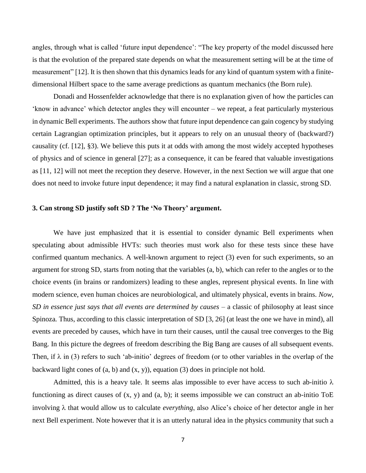angles, through what is called 'future input dependence': "The key property of the model discussed here is that the evolution of the prepared state depends on what the measurement setting will be at the time of measurement" [12]. It is then shown that this dynamics leads for any kind of quantum system with a finitedimensional Hilbert space to the same average predictions as quantum mechanics (the Born rule).

Donadi and Hossenfelder acknowledge that there is no explanation given of how the particles can 'know in advance' which detector angles they will encounter – we repeat, a feat particularly mysterious in dynamic Bell experiments. The authors show that future input dependence can gain cogency by studying certain Lagrangian optimization principles, but it appears to rely on an unusual theory of (backward?) causality (cf. [12], §3). We believe this puts it at odds with among the most widely accepted hypotheses of physics and of science in general [27]; as a consequence, it can be feared that valuable investigations as [11, 12] will not meet the reception they deserve. However, in the next Section we will argue that one does not need to invoke future input dependence; it may find a natural explanation in classic, strong SD.

## **3. Can strong SD justify soft SD ? The 'No Theory' argument.**

We have just emphasized that it is essential to consider dynamic Bell experiments when speculating about admissible HVTs: such theories must work also for these tests since these have confirmed quantum mechanics. A well-known argument to reject (3) even for such experiments, so an argument for strong SD, starts from noting that the variables (a, b), which can refer to the angles or to the choice events (in brains or randomizers) leading to these angles, represent physical events. In line with modern science, even human choices are neurobiological, and ultimately physical, events in brains. *Now, SD in essence just says that all events are determined by causes –* a classic of philosophy at least since Spinoza*.* Thus, according to this classic interpretation of SD [3, 26] (at least the one we have in mind), all events are preceded by causes, which have in turn their causes, until the causal tree converges to the Big Bang. In this picture the degrees of freedom describing the Big Bang are causes of all subsequent events. Then, if  $\lambda$  in (3) refers to such 'ab-initio' degrees of freedom (or to other variables in the overlap of the backward light cones of  $(a, b)$  and  $(x, y)$ , equation  $(3)$  does in principle not hold.

Admitted, this is a heavy tale. It seems alas impossible to ever have access to such ab-initio  $\lambda$ functioning as direct causes of  $(x, y)$  and  $(a, b)$ ; it seems impossible we can construct an ab-initio ToE involving  $\lambda$  that would allow us to calculate *everything*, also Alice's choice of her detector angle in her next Bell experiment. Note however that it is an utterly natural idea in the physics community that such a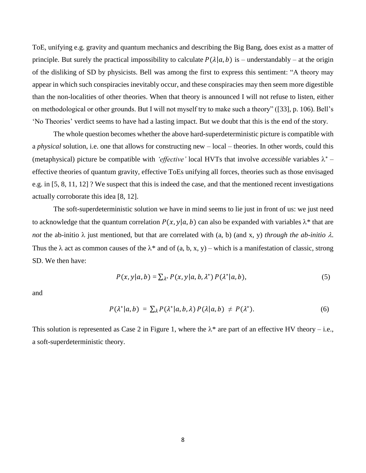ToE, unifying e.g. gravity and quantum mechanics and describing the Big Bang, does exist as a matter of principle. But surely the practical impossibility to calculate  $P(\lambda|a, b)$  is – understandably – at the origin of the disliking of SD by physicists. Bell was among the first to express this sentiment: "A theory may appear in which such conspiracies inevitably occur, and these conspiracies may then seem more digestible than the non-localities of other theories. When that theory is announced I will not refuse to listen, either on methodological or other grounds. But I will not myself try to make such a theory" ([33], p. 106). Bell's 'No Theories' verdict seems to have had a lasting impact. But we doubt that this is the end of the story.

The whole question becomes whether the above hard-superdeterministic picture is compatible with a *physical* solution, i.e. one that allows for constructing new – local – theories. In other words, could this (metaphysical) picture be compatible with *'effective'* local HVTs that involve *accessible* variables  $\lambda^*$  – effective theories of quantum gravity, effective ToEs unifying all forces, theories such as those envisaged e.g. in [5, 8, 11, 12] ? We suspect that this is indeed the case, and that the mentioned recent investigations actually corroborate this idea [8, 12].

The soft-superdeterministic solution we have in mind seems to lie just in front of us: we just need to acknowledge that the quantum correlation  $P(x, y | a, b)$  can also be expanded with variables  $\lambda^*$  that are *not* the ab-initio  $\lambda$  just mentioned, but that are correlated with (a, b) (and x, y) *through the ab-initio*  $\lambda$ . Thus the  $\lambda$  act as common causes of the  $\lambda^*$  and of (a, b, x, y) – which is a manifestation of classic, strong SD. We then have:

$$
P(x, y|a, b) = \sum_{\lambda^*} P(x, y|a, b, \lambda^*) P(\lambda^*|a, b), \qquad (5)
$$

and

$$
P(\lambda^*|a,b) = \sum_{\lambda} P(\lambda^*|a,b,\lambda) P(\lambda|a,b) \neq P(\lambda^*).
$$
 (6)

This solution is represented as Case 2 in Figure 1, where the  $\lambda^*$  are part of an effective HV theory – i.e., a soft-superdeterministic theory.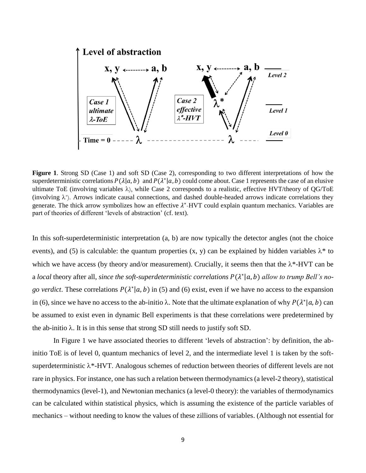

**Figure 1**. Strong SD (Case 1) and soft SD (Case 2), corresponding to two different interpretations of how the superdeterministic correlations  $P(\lambda|a, b)$  and  $P(\lambda^*|a, b)$  could come about. Case 1 represents the case of an elusive ultimate ToE (involving variables  $\lambda$ ), while Case 2 corresponds to a realistic, effective HVT/theory of QG/ToE (involving  $\lambda^*$ ). Arrows indicate causal connections, and dashed double-headed arrows indicate correlations they generate. The thick arrow symbolizes how an effective  $\lambda^*$ -HVT could explain quantum mechanics. Variables are part of theories of different 'levels of abstraction' (cf. text).

In this soft-superdeterministic interpretation (a, b) are now typically the detector angles (not the choice events), and (5) is calculable: the quantum properties  $(x, y)$  can be explained by hidden variables  $\lambda^*$  to which we have access (by theory and/or measurement). Crucially, it seems then that the  $\lambda^*$ -HVT can be a *local* theory after all, *since the soft-superdeterministic correlations*  $P(\lambda^*|a, b)$  *allow to trump Bell's nogo verdict*. These correlations  $P(\lambda^* | a, b)$  in (5) and (6) exist, even if we have no access to the expansion in (6), since we have no access to the ab-initio  $\lambda$ . Note that the ultimate explanation of why  $P(\lambda^* | a, b)$  can be assumed to exist even in dynamic Bell experiments is that these correlations were predetermined by the ab-initio  $\lambda$ . It is in this sense that strong SD still needs to justify soft SD.

In Figure 1 we have associated theories to different 'levels of abstraction': by definition, the abinitio ToE is of level 0, quantum mechanics of level 2, and the intermediate level 1 is taken by the softsuperdeterministic  $\lambda^*$ -HVT. Analogous schemes of reduction between theories of different levels are not rare in physics. For instance, one has such a relation between thermodynamics (a level-2 theory), statistical thermodynamics (level-1), and Newtonian mechanics (a level-0 theory): the variables of thermodynamics can be calculated within statistical physics, which is assuming the existence of the particle variables of mechanics – without needing to know the values of these zillions of variables. (Although not essential for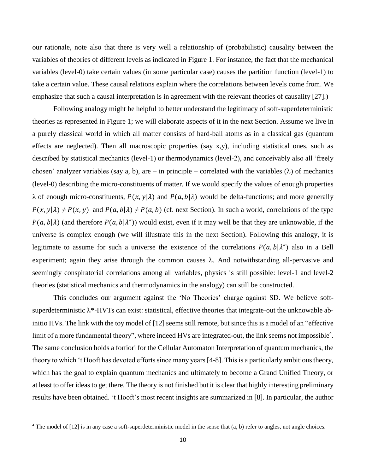our rationale, note also that there is very well a relationship of (probabilistic) causality between the variables of theories of different levels as indicated in Figure 1. For instance, the fact that the mechanical variables (level-0) take certain values (in some particular case) causes the partition function (level-1) to take a certain value. These causal relations explain where the correlations between levels come from. We emphasize that such a causal interpretation is in agreement with the relevant theories of causality [27].)

Following analogy might be helpful to better understand the legitimacy of soft-superdeterministic theories as represented in Figure 1; we will elaborate aspects of it in the next Section. Assume we live in a purely classical world in which all matter consists of hard-ball atoms as in a classical gas (quantum effects are neglected). Then all macroscopic properties (say x,y), including statistical ones, such as described by statistical mechanics (level-1) or thermodynamics (level-2), and conceivably also all 'freely chosen' analyzer variables (say a, b), are – in principle – correlated with the variables  $(\lambda)$  of mechanics (level-0) describing the micro-constituents of matter. If we would specify the values of enough properties  $\lambda$  of enough micro-constituents,  $P(x, y | \lambda)$  and  $P(a, b | \lambda)$  would be delta-functions; and more generally  $P(x, y | \lambda) \neq P(x, y)$  and  $P(a, b | \lambda) \neq P(a, b)$  (cf. next Section). In such a world, correlations of the type  $P(a, b | \lambda)$  (and therefore  $P(a, b | \lambda^*)$ ) would exist, even if it may well be that they are unknowable, if the universe is complex enough (we will illustrate this in the next Section). Following this analogy, it is legitimate to assume for such a universe the existence of the correlations  $P(a, b | \lambda^*)$  also in a Bell experiment; again they arise through the common causes  $\lambda$ . And notwithstanding all-pervasive and seemingly conspiratorial correlations among all variables, physics is still possible: level-1 and level-2 theories (statistical mechanics and thermodynamics in the analogy) can still be constructed.

This concludes our argument against the 'No Theories' charge against SD. We believe softsuperdeterministic  $\lambda^*$ -HVTs can exist: statistical, effective theories that integrate-out the unknowable abinitio HVs. The link with the toy model of [12] seems still remote, but since this is a model of an "effective limit of a more fundamental theory", where indeed HVs are integrated-out, the link seems not impossible<sup>4</sup>. The same conclusion holds a fortiori for the Cellular Automaton Interpretation of quantum mechanics, the theory to which 't Hooft has devoted efforts since many years [4-8]. This is a particularly ambitious theory, which has the goal to explain quantum mechanics and ultimately to become a Grand Unified Theory, or at least to offer ideas to get there. The theory is not finished but it is clear that highly interesting preliminary results have been obtained. 't Hooft's most recent insights are summarized in [8]. In particular, the author

 $\overline{\phantom{a}}$ 

<sup>&</sup>lt;sup>4</sup> The model of [12] is in any case a soft-superdeterministic model in the sense that (a, b) refer to angles, not angle choices.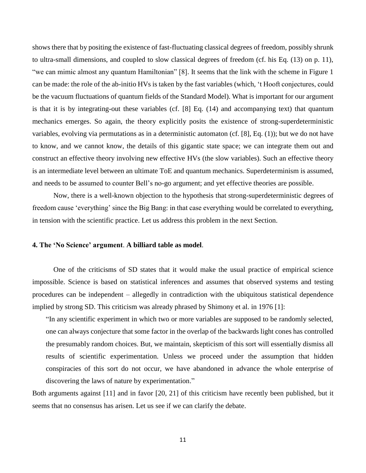shows there that by positing the existence of fast-fluctuating classical degrees of freedom, possibly shrunk to ultra-small dimensions, and coupled to slow classical degrees of freedom (cf. his Eq. (13) on p. 11), "we can mimic almost any quantum Hamiltonian" [8]. It seems that the link with the scheme in Figure 1 can be made: the role of the ab-initio HVs is taken by the fast variables (which, 't Hooft conjectures, could be the vacuum fluctuations of quantum fields of the Standard Model). What is important for our argument is that it is by integrating-out these variables (cf. [8] Eq. (14) and accompanying text) that quantum mechanics emerges. So again, the theory explicitly posits the existence of strong-superdeterministic variables, evolving via permutations as in a deterministic automaton (cf. [8], Eq. (1)); but we do not have to know, and we cannot know, the details of this gigantic state space; we can integrate them out and construct an effective theory involving new effective HVs (the slow variables). Such an effective theory is an intermediate level between an ultimate ToE and quantum mechanics. Superdeterminism is assumed, and needs to be assumed to counter Bell's no-go argument; and yet effective theories are possible.

Now, there is a well-known objection to the hypothesis that strong-superdeterministic degrees of freedom cause 'everything' since the Big Bang: in that case everything would be correlated to everything, in tension with the scientific practice. Let us address this problem in the next Section.

#### **4. The 'No Science' argument**. **A billiard table as model**.

One of the criticisms of SD states that it would make the usual practice of empirical science impossible. Science is based on statistical inferences and assumes that observed systems and testing procedures can be independent – allegedly in contradiction with the ubiquitous statistical dependence implied by strong SD. This criticism was already phrased by Shimony et al. in 1976 [1]:

"In any scientific experiment in which two or more variables are supposed to be randomly selected, one can always conjecture that some factor in the overlap of the backwards light cones has controlled the presumably random choices. But, we maintain, skepticism of this sort will essentially dismiss all results of scientific experimentation. Unless we proceed under the assumption that hidden conspiracies of this sort do not occur, we have abandoned in advance the whole enterprise of discovering the laws of nature by experimentation."

Both arguments against [11] and in favor [20, 21] of this criticism have recently been published, but it seems that no consensus has arisen. Let us see if we can clarify the debate.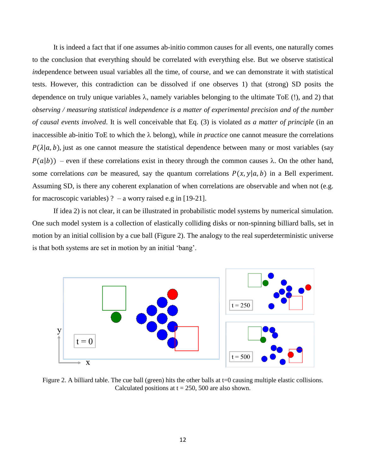It is indeed a fact that if one assumes ab-initio common causes for all events, one naturally comes to the conclusion that everything should be correlated with everything else. But we observe statistical *in*dependence between usual variables all the time, of course, and we can demonstrate it with statistical tests. However, this contradiction can be dissolved if one observes 1) that (strong) SD posits the dependence on truly unique variables  $\lambda$ , namely variables belonging to the ultimate ToE (!), and 2) that *observing / measuring statistical independence is a matter of experimental precision and of the number of causal events involved*. It is well conceivable that Eq. (3) is violated *as a matter of principle* (in an inaccessible ab-initio ToE to which the  $\lambda$  belong), while *in practice* one cannot measure the correlations  $P(\lambda|a, b)$ , just as one cannot measure the statistical dependence between many or most variables (say  $P(a|b)$  – even if these correlations exist in theory through the common causes  $\lambda$ . On the other hand, some correlations *can* be measured, say the quantum correlations  $P(x, y | a, b)$  in a Bell experiment. Assuming SD, is there any coherent explanation of when correlations are observable and when not (e.g. for macroscopic variables) ? – a worry raised e.g in [19-21].

If idea 2) is not clear, it can be illustrated in probabilistic model systems by numerical simulation. One such model system is a collection of elastically colliding disks or non-spinning billiard balls, set in motion by an initial collision by a cue ball (Figure 2). The analogy to the real superdeterministic universe is that both systems are set in motion by an initial 'bang'.



Figure 2. A billiard table. The cue ball (green) hits the other balls at t=0 causing multiple elastic collisions. Calculated positions at  $t = 250$ , 500 are also shown.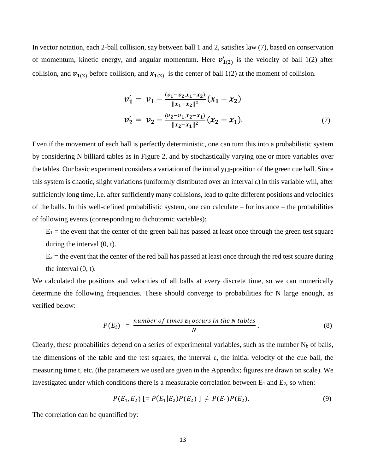In vector notation, each 2-ball collision, say between ball 1 and 2, satisfies law (7), based on conservation of momentum, kinetic energy, and angular momentum. Here  $v'_{1(2)}$  is the velocity of ball 1(2) after collision, and  $v_{1(2)}$  before collision, and  $x_{1(2)}$  is the center of ball 1(2) at the moment of collision.

$$
v'_1 = v_1 - \frac{\langle v_1 - v_2, x_1 - x_2 \rangle}{\|x_1 - x_2\|^2} (x_1 - x_2)
$$
  

$$
v'_2 = v_2 - \frac{\langle v_2 - v_1, x_2 - x_1 \rangle}{\|x_2 - x_1\|^2} (x_2 - x_1).
$$
 (7)

Even if the movement of each ball is perfectly deterministic, one can turn this into a probabilistic system by considering N billiard tables as in Figure 2, and by stochastically varying one or more variables over the tables. Our basic experiment considers a variation of the initial  $y_{1,0}$ -position of the green cue ball. Since this system is chaotic, slight variations (uniformly distributed over an interval  $\varepsilon$ ) in this variable will, after sufficiently long time, i.e. after sufficiently many collisions, lead to quite different positions and velocities of the balls. In this well-defined probabilistic system, one can calculate – for instance – the probabilities of following events (corresponding to dichotomic variables):

 $E_1$  = the event that the center of the green ball has passed at least once through the green test square during the interval (0, t).

 $E_2$  = the event that the center of the red ball has passed at least once through the red test square during the interval (0, t).

We calculated the positions and velocities of all balls at every discrete time, so we can numerically determine the following frequencies. These should converge to probabilities for N large enough, as verified below:

$$
P(E_i) = \frac{number\ of\ times\ E_i\ occurs\ in\ the\ N\ tables}{N} \ . \tag{8}
$$

Clearly, these probabilities depend on a series of experimental variables, such as the number  $N_b$  of balls, the dimensions of the table and the test squares, the interval  $\varepsilon$ , the initial velocity of the cue ball, the measuring time t, etc. (the parameters we used are given in the Appendix; figures are drawn on scale). We investigated under which conditions there is a measurable correlation between  $E_1$  and  $E_2$ , so when:

$$
P(E_1, E_2) \left[ = P(E_1 | E_2) P(E_2) \right] \neq P(E_1) P(E_2). \tag{9}
$$

The correlation can be quantified by: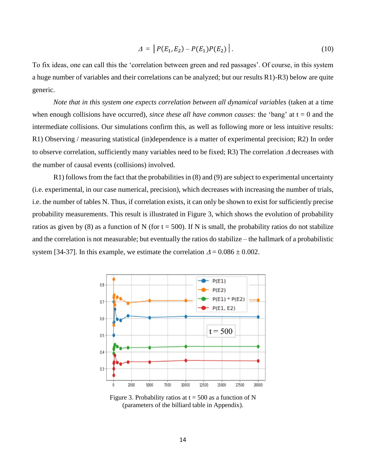$$
\Delta = |P(E_1, E_2) - P(E_1)P(E_2)|. \tag{10}
$$

To fix ideas, one can call this the 'correlation between green and red passages'. Of course, in this system a huge number of variables and their correlations can be analyzed; but our results R1)-R3) below are quite generic.

*Note that in this system one expects correlation between all dynamical variables (taken at a time* when enough collisions have occurred), *since these all have common causes*: the 'bang' at  $t = 0$  and the intermediate collisions. Our simulations confirm this, as well as following more or less intuitive results: R1) Observing / measuring statistical (in)dependence is a matter of experimental precision; R2) In order to observe correlation, sufficiently many variables need to be fixed; R3) The correlation  $\Delta$  decreases with the number of causal events (collisions) involved.

R1) follows from the fact that the probabilities in (8) and (9) are subject to experimental uncertainty (i.e. experimental, in our case numerical, precision), which decreases with increasing the number of trials, i.e. the number of tables N. Thus, if correlation exists, it can only be shown to exist for sufficiently precise probability measurements. This result is illustrated in Figure 3, which shows the evolution of probability ratios as given by (8) as a function of N (for  $t = 500$ ). If N is small, the probability ratios do not stabilize and the correlation is not measurable; but eventually the ratios do stabilize – the hallmark of a probabilistic system [34-37]. In this example, we estimate the correlation  $\Delta = 0.086 \pm 0.002$ .



Figure 3. Probability ratios at  $t = 500$  as a function of N (parameters of the billiard table in Appendix).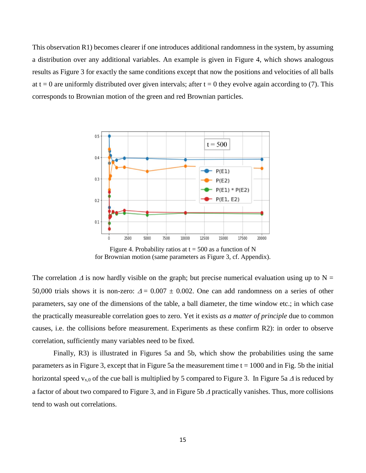This observation R1) becomes clearer if one introduces additional randomness in the system, by assuming a distribution over any additional variables. An example is given in Figure 4, which shows analogous results as Figure 3 for exactly the same conditions except that now the positions and velocities of all balls at t = 0 are uniformly distributed over given intervals; after t = 0 they evolve again according to (7). This corresponds to Brownian motion of the green and red Brownian particles.



Figure 4. Probability ratios at  $t = 500$  as a function of N for Brownian motion (same parameters as Figure 3, cf. Appendix).

The correlation  $\Delta$  is now hardly visible on the graph; but precise numerical evaluation using up to N = 50,000 trials shows it is non-zero:  $\Delta = 0.007 \pm 0.002$ . One can add randomness on a series of other parameters, say one of the dimensions of the table, a ball diameter, the time window etc.; in which case the practically measureable correlation goes to zero. Yet it exists *as a matter of principle* due to common causes, i.e. the collisions before measurement. Experiments as these confirm R2): in order to observe correlation, sufficiently many variables need to be fixed.

Finally, R3) is illustrated in Figures 5a and 5b, which show the probabilities using the same parameters as in Figure 3, except that in Figure 5a the measurement time  $t = 1000$  and in Fig. 5b the initial horizontal speed  $v_{x,0}$  of the cue ball is multiplied by 5 compared to Figure 3. In Figure 5a  $\Delta$  is reduced by a factor of about two compared to Figure 3, and in Figure 5b  $\Delta$  practically vanishes. Thus, more collisions tend to wash out correlations.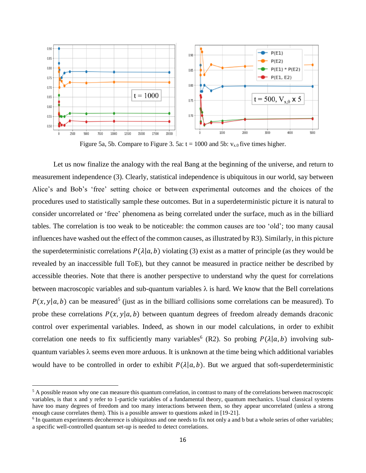

Figure 5a, 5b. Compare to Figure 3. 5a:  $t = 1000$  and 5b:  $v_{x,0}$  five times higher.

Let us now finalize the analogy with the real Bang at the beginning of the universe, and return to measurement independence (3). Clearly, statistical independence is ubiquitous in our world, say between Alice's and Bob's 'free' setting choice or between experimental outcomes and the choices of the procedures used to statistically sample these outcomes. But in a superdeterministic picture it is natural to consider uncorrelated or 'free' phenomena as being correlated under the surface, much as in the billiard tables. The correlation is too weak to be noticeable: the common causes are too 'old'; too many causal influences have washed out the effect of the common causes, as illustrated by R3). Similarly, in this picture the superdeterministic correlations  $P(\lambda|a, b)$  violating (3) exist as a matter of principle (as they would be revealed by an inaccessible full ToE), but they cannot be measured in practice neither be described by accessible theories. Note that there is another perspective to understand why the quest for correlations between macroscopic variables and sub-quantum variables  $\lambda$  is hard. We know that the Bell correlations  $P(x, y | a, b)$  can be measured<sup>5</sup> (just as in the billiard collisions some correlations can be measured). To probe these correlations  $P(x, y | a, b)$  between quantum degrees of freedom already demands draconic control over experimental variables. Indeed, as shown in our model calculations, in order to exhibit correlation one needs to fix sufficiently many variables<sup>6</sup> (R2). So probing  $P(\lambda|a, b)$  involving subquantum variables  $\lambda$  seems even more arduous. It is unknown at the time being which additional variables would have to be controlled in order to exhibit  $P(\lambda|a, b)$ . But we argued that soft-superdeterministic

l

<sup>&</sup>lt;sup>5</sup> A possible reason why one can measure this quantum correlation, in contrast to many of the correlations between macroscopic variables, is that x and y refer to 1-particle variables of a fundamental theory, quantum mechanics. Usual classical systems have too many degrees of freedom and too many interactions between them, so they appear uncorrelated (unless a strong enough cause correlates them). This is a possible answer to questions asked in [19-21].

<sup>&</sup>lt;sup>6</sup> In quantum experiments decoherence is ubiquitous and one needs to fix not only a and b but a whole series of other variables; a specific well-controlled quantum set-up is needed to detect correlations.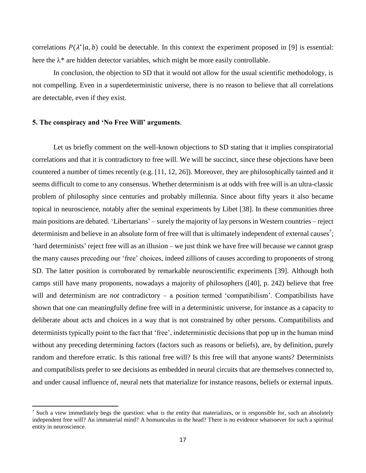correlations  $P(\lambda^* | a, b)$  could be detectable. In this context the experiment proposed in [9] is essential: here the  $\lambda^*$  are hidden detector variables, which might be more easily controllable.

In conclusion, the objection to SD that it would not allow for the usual scientific methodology, is not compelling. Even in a superdeterministic universe, there is no reason to believe that all correlations are detectable, even if they exist.

## **5. The conspiracy and 'No Free Will' arguments**.

 $\overline{\phantom{a}}$ 

Let us briefly comment on the well-known objections to SD stating that it implies conspiratorial correlations and that it is contradictory to free will. We will be succinct, since these objections have been countered a number of times recently (e.g. [11, 12, 26]). Moreover, they are philosophically tainted and it seems difficult to come to any consensus. Whether determinism is at odds with free will is an ultra-classic problem of philosophy since centuries and probably millennia. Since about fifty years it also became topical in neuroscience, notably after the seminal experiments by Libet [38]. In these communities three main positions are debated. 'Libertarians' – surely the majority of lay persons in Western countries – reject determinism and believe in an absolute form of free will that is ultimately independent of external causes<sup>7</sup>; 'hard determinists' reject free will as an illusion – we just think we have free will because we cannot grasp the many causes preceding our 'free' choices, indeed zillions of causes according to proponents of strong SD. The latter position is corroborated by remarkable neuroscientific experiments [39]. Although both camps still have many proponents, nowadays a majority of philosophers ([40], p. 242) believe that free will and determinism are *not* contradictory – a position termed 'compatibilism'. Compatibilists have shown that one can meaningfully define free will in a deterministic universe, for instance as a capacity to deliberate about acts and choices in a way that is not constrained by other persons. Compatibilists and determinists typically point to the fact that 'free', indeterministic decisions that pop up in the human mind without any preceding determining factors (factors such as reasons or beliefs), are, by definition, purely random and therefore erratic. Is this rational free will? Is this free will that anyone wants? Determinists and compatibilists prefer to see decisions as embedded in neural circuits that are themselves connected to, and under causal influence of, neural nets that materialize for instance reasons, beliefs or external inputs.

<sup>&</sup>lt;sup>7</sup> Such a view immediately begs the question: what is the entity that materializes, or is responsible for, such an absolutely independent free will? An immaterial mind? A homunculus in the head? There is no evidence whatsoever for such a spiritual entity in neuroscience.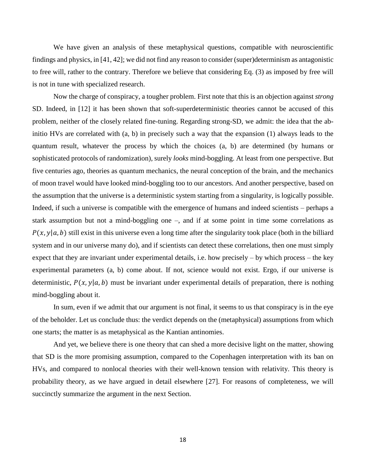We have given an analysis of these metaphysical questions, compatible with neuroscientific findings and physics, in [41, 42]; we did not find any reason to consider (super)determinism as antagonistic to free will, rather to the contrary. Therefore we believe that considering Eq. (3) as imposed by free will is not in tune with specialized research.

Now the charge of conspiracy, a tougher problem. First note that this is an objection against *strong* SD. Indeed, in [12] it has been shown that soft-superdeterministic theories cannot be accused of this problem, neither of the closely related fine-tuning. Regarding strong-SD, we admit: the idea that the abinitio HVs are correlated with (a, b) in precisely such a way that the expansion (1) always leads to the quantum result, whatever the process by which the choices (a, b) are determined (by humans or sophisticated protocols of randomization), surely *looks* mind-boggling. At least from one perspective. But five centuries ago, theories as quantum mechanics, the neural conception of the brain, and the mechanics of moon travel would have looked mind-boggling too to our ancestors. And another perspective, based on the assumption that the universe is a deterministic system starting from a singularity, is logically possible. Indeed, if such a universe is compatible with the emergence of humans and indeed scientists – perhaps a stark assumption but not a mind-boggling one –, and if at some point in time some correlations as  $P(x, y | a, b)$  still exist in this universe even a long time after the singularity took place (both in the billiard system and in our universe many do), and if scientists can detect these correlations, then one must simply expect that they are invariant under experimental details, i.e. how precisely – by which process – the key experimental parameters (a, b) come about. If not, science would not exist. Ergo, if our universe is deterministic,  $P(x, y | a, b)$  must be invariant under experimental details of preparation, there is nothing mind-boggling about it.

In sum, even if we admit that our argument is not final, it seems to us that conspiracy is in the eye of the beholder. Let us conclude thus: the verdict depends on the (metaphysical) assumptions from which one starts; the matter is as metaphysical as the Kantian antinomies.

And yet, we believe there is one theory that can shed a more decisive light on the matter, showing that SD is the more promising assumption, compared to the Copenhagen interpretation with its ban on HVs, and compared to nonlocal theories with their well-known tension with relativity. This theory is probability theory, as we have argued in detail elsewhere [27]. For reasons of completeness, we will succinctly summarize the argument in the next Section.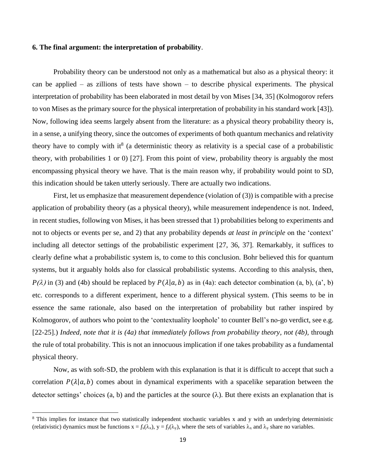## **6. The final argument: the interpretation of probability**.

Probability theory can be understood not only as a mathematical but also as a physical theory: it can be applied – as zillions of tests have shown – to describe physical experiments. The physical interpretation of probability has been elaborated in most detail by von Mises [34, 35] (Kolmogorov refers to von Mises as the primary source for the physical interpretation of probability in his standard work [43]). Now, following idea seems largely absent from the literature: as a physical theory probability theory is, in a sense, a unifying theory, since the outcomes of experiments of both quantum mechanics and relativity theory have to comply with it<sup>8</sup> (a deterministic theory as relativity is a special case of a probabilistic theory, with probabilities 1 or 0) [27]. From this point of view, probability theory is arguably the most encompassing physical theory we have. That is the main reason why, if probability would point to SD, this indication should be taken utterly seriously. There are actually two indications.

First, let us emphasize that measurement dependence (violation of (3)) is compatible with a precise application of probability theory (as a physical theory), while measurement independence is not. Indeed, in recent studies, following von Mises, it has been stressed that 1) probabilities belong to experiments and not to objects or events per se, and 2) that any probability depends *at least in principle* on the 'context' including all detector settings of the probabilistic experiment [27, 36, 37]. Remarkably, it suffices to clearly define what a probabilistic system is, to come to this conclusion. Bohr believed this for quantum systems, but it arguably holds also for classical probabilistic systems. According to this analysis, then,  $P(\lambda)$  in (3) and (4b) should be replaced by  $P(\lambda|a, b)$  as in (4a): each detector combination (a, b), (a', b) etc. corresponds to a different experiment, hence to a different physical system. (This seems to be in essence the same rationale, also based on the interpretation of probability but rather inspired by Kolmogorov, of authors who point to the 'contextuality loophole' to counter Bell's no-go verdict, see e.g. [22-25].) *Indeed, note that it is (4a) that immediately follows from probability theory, not (4b),* through the rule of total probability. This is not an innocuous implication if one takes probability as a fundamental physical theory.

Now, as with soft-SD, the problem with this explanation is that it is difficult to accept that such a correlation  $P(\lambda|a, b)$  comes about in dynamical experiments with a spacelike separation between the detector settings' choices (a, b) and the particles at the source  $(\lambda)$ . But there exists an explanation that is

 $\overline{\phantom{a}}$ 

<sup>&</sup>lt;sup>8</sup> This implies for instance that two statistically independent stochastic variables x and y with an underlying deterministic (relativistic) dynamics must be functions  $x = f_x(\lambda_x)$ ,  $y = f_y(\lambda_y)$ , where the sets of variables  $\lambda_x$  and  $\lambda_y$  share no variables.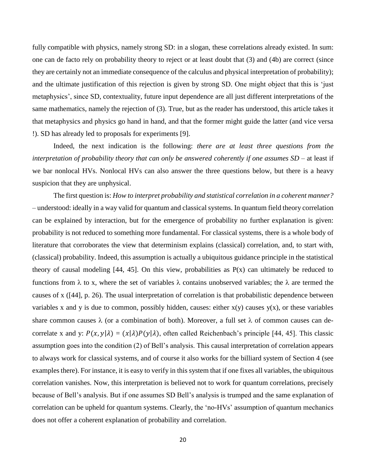fully compatible with physics, namely strong SD: in a slogan, these correlations already existed. In sum: one can de facto rely on probability theory to reject or at least doubt that (3) and (4b) are correct (since they are certainly not an immediate consequence of the calculus and physical interpretation of probability); and the ultimate justification of this rejection is given by strong SD. One might object that this is 'just metaphysics', since SD, contextuality, future input dependence are all just different interpretations of the same mathematics, namely the rejection of (3). True, but as the reader has understood, this article takes it that metaphysics and physics go hand in hand, and that the former might guide the latter (and vice versa !). SD has already led to proposals for experiments [9].

Indeed, the next indication is the following: *there are at least three questions from the interpretation of probability theory that can only be answered coherently if one assumes SD* – at least if we bar nonlocal HVs. Nonlocal HVs can also answer the three questions below, but there is a heavy suspicion that they are unphysical.

The first question is: *How to interpret probability and statistical correlation in a coherent manner?* – understood: ideally in a way valid for quantum and classical systems. In quantum field theory correlation can be explained by interaction, but for the emergence of probability no further explanation is given: probability is not reduced to something more fundamental. For classical systems, there is a whole body of literature that corroborates the view that determinism explains (classical) correlation, and, to start with, (classical) probability. Indeed, this assumption is actually a ubiquitous guidance principle in the statistical theory of causal modeling  $[44, 45]$ . On this view, probabilities as  $P(x)$  can ultimately be reduced to functions from  $\lambda$  to x, where the set of variables  $\lambda$  contains unobserved variables; the  $\lambda$  are termed the causes of x ([44], p. 26). The usual interpretation of correlation is that probabilistic dependence between variables x and y is due to common, possibly hidden, causes: either  $x(y)$  causes  $y(x)$ , or these variables share common causes  $\lambda$  (or a combination of both). Moreover, a full set  $\lambda$  of common causes can decorrelate x and y:  $P(x, y | \lambda) = (x | \lambda) P(y | \lambda)$ , often called Reichenbach's principle [44, 45]. This classic assumption goes into the condition (2) of Bell's analysis. This causal interpretation of correlation appears to always work for classical systems, and of course it also works for the billiard system of Section 4 (see examples there). For instance, it is easy to verify in this system that if one fixes all variables, the ubiquitous correlation vanishes. Now, this interpretation is believed not to work for quantum correlations, precisely because of Bell's analysis. But if one assumes SD Bell's analysis is trumped and the same explanation of correlation can be upheld for quantum systems. Clearly, the 'no-HVs' assumption of quantum mechanics does not offer a coherent explanation of probability and correlation.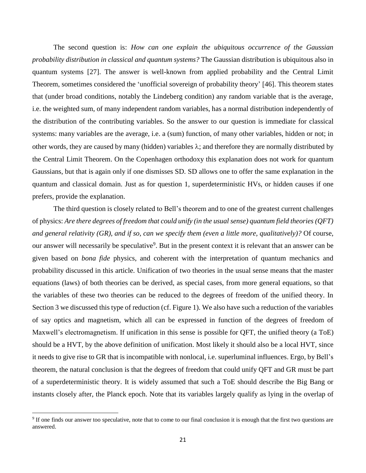The second question is: *How can one explain the ubiquitous occurrence of the Gaussian probability distribution in classical and quantum systems?* The Gaussian distribution is ubiquitous also in quantum systems [27]. The answer is well-known from applied probability and the Central Limit Theorem, sometimes considered the 'unofficial sovereign of probability theory' [46]. This theorem states that (under broad conditions, notably the Lindeberg condition) any random variable that is the average, i.e. the weighted sum, of many independent random variables, has a normal distribution independently of the distribution of the contributing variables. So the answer to our question is immediate for classical systems: many variables are the average, i.e. a (sum) function, of many other variables, hidden or not; in other words, they are caused by many (hidden) variables  $\lambda$ ; and therefore they are normally distributed by the Central Limit Theorem. On the Copenhagen orthodoxy this explanation does not work for quantum Gaussians, but that is again only if one dismisses SD. SD allows one to offer the same explanation in the quantum and classical domain. Just as for question 1, superdeterministic HVs, or hidden causes if one prefers, provide the explanation.

The third question is closely related to Bell's theorem and to one of the greatest current challenges of physics: *Are there degrees of freedom that could unify (in the usual sense) quantum field theories (QFT) and general relativity (GR), and if so, can we specify them (even a little more, qualitatively)?* Of course, our answer will necessarily be speculative<sup>9</sup>. But in the present context it is relevant that an answer can be given based on *bona fide* physics, and coherent with the interpretation of quantum mechanics and probability discussed in this article. Unification of two theories in the usual sense means that the master equations (laws) of both theories can be derived, as special cases, from more general equations, so that the variables of these two theories can be reduced to the degrees of freedom of the unified theory. In Section 3 we discussed this type of reduction (cf. Figure 1). We also have such a reduction of the variables of say optics and magnetism, which all can be expressed in function of the degrees of freedom of Maxwell's electromagnetism. If unification in this sense is possible for QFT, the unified theory (a ToE) should be a HVT, by the above definition of unification. Most likely it should also be a local HVT, since it needs to give rise to GR that is incompatible with nonlocal, i.e. superluminal influences. Ergo, by Bell's theorem, the natural conclusion is that the degrees of freedom that could unify QFT and GR must be part of a superdeterministic theory. It is widely assumed that such a ToE should describe the Big Bang or instants closely after, the Planck epoch. Note that its variables largely qualify as lying in the overlap of

 $\overline{\phantom{a}}$ 

<sup>&</sup>lt;sup>9</sup> If one finds our answer too speculative, note that to come to our final conclusion it is enough that the first two questions are answered.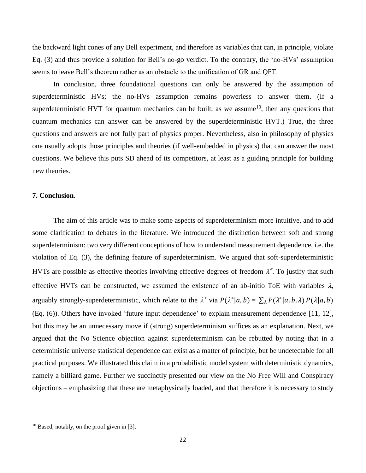the backward light cones of any Bell experiment, and therefore as variables that can, in principle, violate Eq. (3) and thus provide a solution for Bell's no-go verdict. To the contrary, the 'no-HVs' assumption seems to leave Bell's theorem rather as an obstacle to the unification of GR and QFT.

In conclusion, three foundational questions can only be answered by the assumption of superdeterministic HVs; the no-HVs assumption remains powerless to answer them. (If a superdeterministic HVT for quantum mechanics can be built, as we assume<sup>10</sup>, then any questions that quantum mechanics can answer can be answered by the superdeterministic HVT.) True, the three questions and answers are not fully part of physics proper. Nevertheless, also in philosophy of physics one usually adopts those principles and theories (if well-embedded in physics) that can answer the most questions. We believe this puts SD ahead of its competitors, at least as a guiding principle for building new theories.

## **7. Conclusion**.

The aim of this article was to make some aspects of superdeterminism more intuitive, and to add some clarification to debates in the literature. We introduced the distinction between soft and strong superdeterminism: two very different conceptions of how to understand measurement dependence, i.e. the violation of Eq. (3), the defining feature of superdeterminism. We argued that soft-superdeterministic HVTs are possible as effective theories involving effective degrees of freedom  $\lambda^*$ . To justify that such effective HVTs can be constructed, we assumed the existence of an ab-initio ToE with variables  $\lambda$ , arguably strongly-superdeterministic, which relate to the  $\lambda^*$  via  $P(\lambda^*|a, b) = \sum_{\lambda} P(\lambda^*|a, b, \lambda) P(\lambda|a, b)$ (Eq. (6)). Others have invoked 'future input dependence' to explain measurement dependence [11, 12], but this may be an unnecessary move if (strong) superdeterminism suffices as an explanation. Next, we argued that the No Science objection against superdeterminism can be rebutted by noting that in a deterministic universe statistical dependence can exist as a matter of principle, but be undetectable for all practical purposes. We illustrated this claim in a probabilistic model system with deterministic dynamics, namely a billiard game. Further we succinctly presented our view on the No Free Will and Conspiracy objections – emphasizing that these are metaphysically loaded, and that therefore it is necessary to study

 $\overline{\phantom{a}}$ 

<sup>&</sup>lt;sup>10</sup> Based, notably, on the proof given in [3].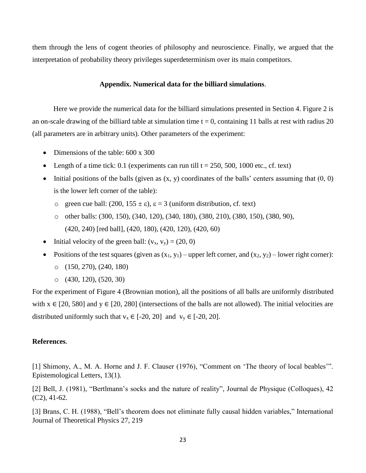them through the lens of cogent theories of philosophy and neuroscience. Finally, we argued that the interpretation of probability theory privileges superdeterminism over its main competitors.

### **Appendix. Numerical data for the billiard simulations**.

Here we provide the numerical data for the billiard simulations presented in Section 4. Figure 2 is an on-scale drawing of the billiard table at simulation time  $t = 0$ , containing 11 balls at rest with radius 20 (all parameters are in arbitrary units). Other parameters of the experiment:

- Dimensions of the table: 600 x 300
- Elength of a time tick: 0.1 (experiments can run till  $t = 250, 500, 1000$  etc., cf. text)
- $\bullet$  Initial positions of the balls (given as  $(x, y)$  coordinates of the balls' centers assuming that  $(0, 0)$ is the lower left corner of the table):
	- o green cue ball:  $(200, 155 \pm \epsilon)$ ,  $\epsilon = 3$  (uniform distribution, cf. text)
	- o other balls: (300, 150), (340, 120), (340, 180), (380, 210), (380, 150), (380, 90), (420, 240) [red ball], (420, 180), (420, 120), (420, 60)
- Initial velocity of the green ball:  $(v_x, v_y) = (20, 0)$
- Positions of the test squares (given as  $(x_1, y_1)$  upper left corner, and  $(x_2, y_2)$  lower right corner):
	- o (150, 270), (240, 180)
	- o (430, 120), (520, 30)

For the experiment of Figure 4 (Brownian motion), all the positions of all balls are uniformly distributed with  $x \in [20, 580]$  and  $y \in [20, 280]$  (intersections of the balls are not allowed). The initial velocities are distributed uniformly such that  $v_x \in [-20, 20]$  and  $v_y \in [-20, 20]$ .

#### **References**.

[1] Shimony, A., M. A. Horne and J. F. Clauser (1976), "Comment on 'The theory of local beables'". Epistemological Letters, 13(1).

[2] Bell, J. (1981), "Bertlmann's socks and the nature of reality", Journal de Physique (Colloques), 42 (C2), 41-62.

[3] Brans, C. H. (1988), "Bell's theorem does not eliminate fully causal hidden variables," International Journal of Theoretical Physics 27, 219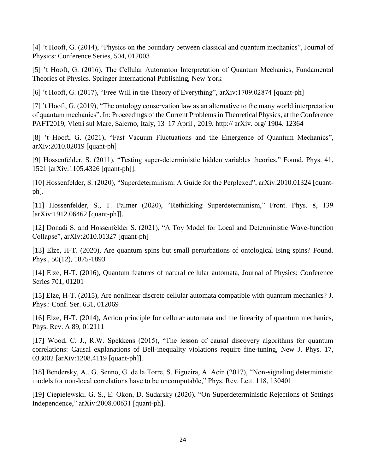[4] 't Hooft, G. (2014), "Physics on the boundary between classical and quantum mechanics", Journal of Physics: Conference Series, 504, 012003

[5] 't Hooft, G. (2016), The Cellular Automaton Interpretation of Quantum Mechanics, Fundamental Theories of Physics. Springer International Publishing, New York

[6] 't Hooft, G. (2017), "Free Will in the Theory of Everything", arXiv:1709.02874 [quant-ph]

[7] 't Hooft, G. (2019), "The ontology conservation law as an alternative to the many world interpretation of quantum mechanics". In: Proceedings of the Current Problems in Theoretical Physics, at the Conference PAFT2019, Vietri sul Mare, Salerno, Italy, 13–17 April , 2019. http:// arXiv. org/ 1904. 12364

[8] 't Hooft, G. (2021), "Fast Vacuum Fluctuations and the Emergence of Quantum Mechanics", arXiv:2010.02019 [quant-ph]

[9] Hossenfelder, S. (2011), "Testing super-deterministic hidden variables theories," Found. Phys. 41, 1521 [arXiv:1105.4326 [quant-ph]].

[10] Hossenfelder, S. (2020), "Superdeterminism: A Guide for the Perplexed", arXiv:2010.01324 [quantph].

[11] Hossenfelder, S., T. Palmer (2020), "Rethinking Superdeterminism," Front. Phys. 8, 139 [arXiv:1912.06462 [quant-ph]].

[12] Donadi S. and Hossenfelder S. (2021), "A Toy Model for Local and Deterministic Wave-function Collapse", arXiv:2010.01327 [quant-ph]

[13] Elze, H-T. (2020), Are quantum spins but small perturbations of ontological Ising spins? Found. Phys., 50(12), 1875-1893

[14] Elze, H-T. (2016), Quantum features of natural cellular automata, Journal of Physics: Conference Series 701, 01201

[15] Elze, H-T. (2015), Are nonlinear discrete cellular automata compatible with quantum mechanics? J. Phys.: Conf. Ser. 631, 012069

[16] Elze, H-T. (2014), Action principle for cellular automata and the linearity of quantum mechanics, Phys. Rev. A 89, 012111

[17] Wood, C. J., R.W. Spekkens (2015), "The lesson of causal discovery algorithms for quantum correlations: Causal explanations of Bell-inequality violations require fine-tuning, New J. Phys. 17, 033002 [arXiv:1208.4119 [quant-ph]].

[18] Bendersky, A., G. Senno, G. de la Torre, S. Figueira, A. Acin (2017), "Non-signaling deterministic models for non-local correlations have to be uncomputable," Phys. Rev. Lett. 118, 130401

[19] Ciepielewski, G. S., E. Okon, D. Sudarsky (2020), "On Superdeterministic Rejections of Settings Independence," arXiv:2008.00631 [quant-ph].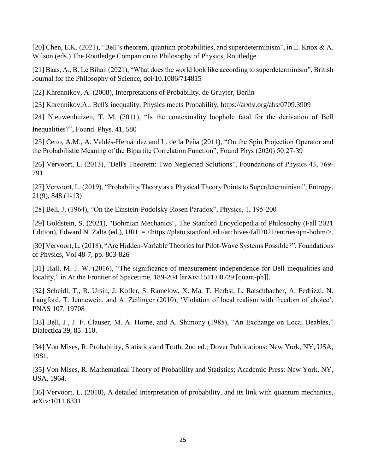[20] Chen, E.K. (2021), "Bell's theorem, quantum probabilities, and superdeterminism", in E. Knox & A. Wilson (eds.) The Routledge Companion to Philosophy of Physics, Routledge.

[21] Baas, A., B. Le Bihan (2021), "What does the world look like according to superdeterminism", British Journal for the Philosophy of Science, doi/10.1086/714815

[22] Khrennikov, A. (2008), Interpretations of Probability. de Gruyter, Berlin

[23] Khrennikov,A.: Bell's inequality: Physics meets Probability,<https://arxiv.org/abs/0709.3909>

[24] Nieuwenhuizen, T. M. (2011), "Is the contextuality loophole fatal for the derivation of Bell Inequalities?", Found. Phys. 41, 580

[25] Cetto, A.M., A. Valdés-Hernández and L. de la Peña (2011), "On the Spin Projection Operator and the Probabilistic Meaning of the Bipartite Correlation Function", Found Phys (2020) 50:27-39

[26] Vervoort, L. (2013), "Bell's Theorem: Two Neglected Solutions", Foundations of Physics 43, 769- 791

[27] Vervoort, L. (2019), "Probability Theory as a Physical Theory Points to Superdeterminism", Entropy, 21(9), 848 (1-13)

[28] Bell, J. (1964), "On the Einstein-Podolsky-Rosen Paradox", Physics, 1, 195-200

[29] Goldstein, S. (2021), "Bohmian Mechanics", The Stanford Encyclopedia of Philosophy (Fall 2021 Edition), Edward N. Zalta (ed.), URL = <https://plato.stanford.edu/archives/fall2021/entries/qm-bohm/>.

[30] Vervoort, L. (2018), "Are Hidden-Variable Theories for Pilot-Wave Systems Possible?", Foundations of Physics, Vol 48-7, pp. 803-826

[31] Hall, M. J. W. (2016), "The significance of measurement independence for Bell inequalities and locality," in At the Frontier of Spacetime, 189-204 [arXiv:1511.00729 [quant-ph]].

[32] Scheidl, T., R. Ursin, J. Kofler, S. Ramelow, X. Ma, T. Herbst, L. Ratschbacher, A. Fedrizzi, N. Langford, T. Jennewein, and A. Zeilinger (2010), 'Violation of local realism with freedom of choice', PNAS 107, 19708

[33] Bell, J., J. F. Clauser, M. A. Horne, and A. Shimony (1985), "An Exchange on Local Beables," Dialectica 39, 85–110.

[34] Von Mises, R. Probability, Statistics and Truth, 2nd ed.; Dover Publications: New York, NY, USA, 1981.

[35] Von Mises, R. Mathematical Theory of Probability and Statistics; Academic Press: New York, NY, USA, 1964.

[36] Vervoort, L. (2010), A detailed interpretation of probability, and its link with quantum mechanics, arXiv:1011.6331.